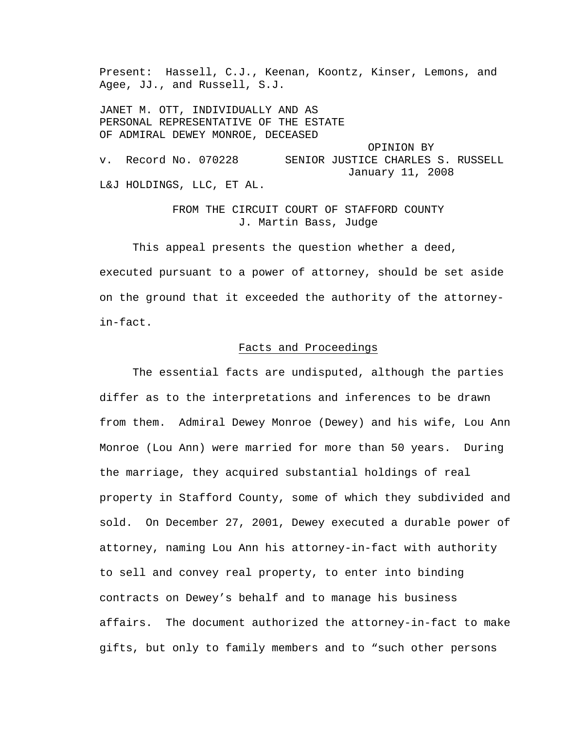Present: Hassell, C.J., Keenan, Koontz, Kinser, Lemons, and Agee, JJ., and Russell, S.J.

JANET M. OTT, INDIVIDUALLY AND AS PERSONAL REPRESENTATIVE OF THE ESTATE OF ADMIRAL DEWEY MONROE, DECEASED OPINION BY v. Record No. 070228 SENIOR JUSTICE CHARLES S. RUSSELL January 11, 2008 L&J HOLDINGS, LLC, ET AL.

> FROM THE CIRCUIT COURT OF STAFFORD COUNTY J. Martin Bass, Judge

 This appeal presents the question whether a deed, executed pursuant to a power of attorney, should be set aside on the ground that it exceeded the authority of the attorneyin-fact.

# Facts and Proceedings

 The essential facts are undisputed, although the parties differ as to the interpretations and inferences to be drawn from them. Admiral Dewey Monroe (Dewey) and his wife, Lou Ann Monroe (Lou Ann) were married for more than 50 years. During the marriage, they acquired substantial holdings of real property in Stafford County, some of which they subdivided and sold. On December 27, 2001, Dewey executed a durable power of attorney, naming Lou Ann his attorney-in-fact with authority to sell and convey real property, to enter into binding contracts on Dewey's behalf and to manage his business affairs. The document authorized the attorney-in-fact to make gifts, but only to family members and to "such other persons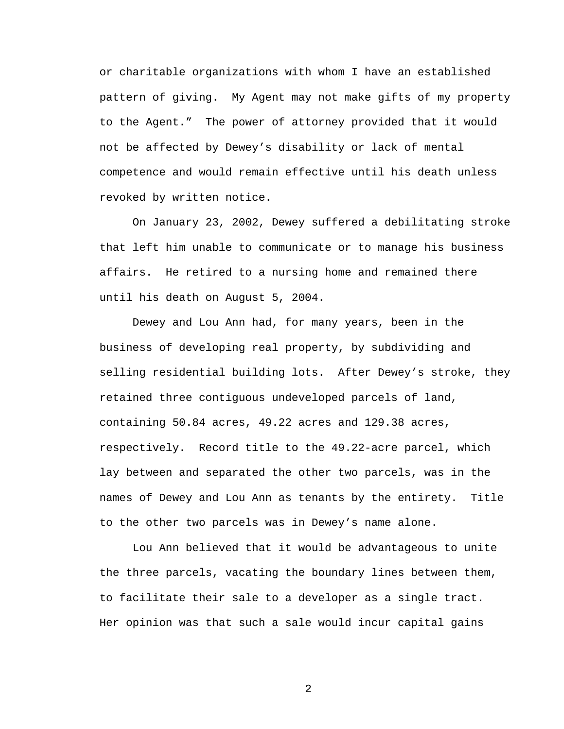or charitable organizations with whom I have an established pattern of giving. My Agent may not make gifts of my property to the Agent." The power of attorney provided that it would not be affected by Dewey's disability or lack of mental competence and would remain effective until his death unless revoked by written notice.

 On January 23, 2002, Dewey suffered a debilitating stroke that left him unable to communicate or to manage his business affairs. He retired to a nursing home and remained there until his death on August 5, 2004.

 Dewey and Lou Ann had, for many years, been in the business of developing real property, by subdividing and selling residential building lots. After Dewey's stroke, they retained three contiguous undeveloped parcels of land, containing 50.84 acres, 49.22 acres and 129.38 acres, respectively. Record title to the 49.22-acre parcel, which lay between and separated the other two parcels, was in the names of Dewey and Lou Ann as tenants by the entirety. Title to the other two parcels was in Dewey's name alone.

 Lou Ann believed that it would be advantageous to unite the three parcels, vacating the boundary lines between them, to facilitate their sale to a developer as a single tract. Her opinion was that such a sale would incur capital gains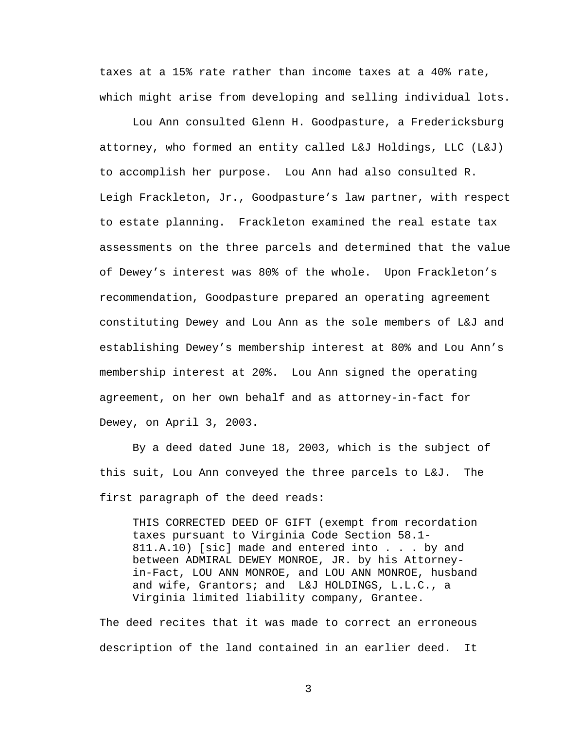taxes at a 15% rate rather than income taxes at a 40% rate, which might arise from developing and selling individual lots.

 Lou Ann consulted Glenn H. Goodpasture, a Fredericksburg attorney, who formed an entity called L&J Holdings, LLC (L&J) to accomplish her purpose. Lou Ann had also consulted R. Leigh Frackleton, Jr., Goodpasture's law partner, with respect to estate planning. Frackleton examined the real estate tax assessments on the three parcels and determined that the value of Dewey's interest was 80% of the whole. Upon Frackleton's recommendation, Goodpasture prepared an operating agreement constituting Dewey and Lou Ann as the sole members of L&J and establishing Dewey's membership interest at 80% and Lou Ann's membership interest at 20%. Lou Ann signed the operating agreement, on her own behalf and as attorney-in-fact for Dewey, on April 3, 2003.

 By a deed dated June 18, 2003, which is the subject of this suit, Lou Ann conveyed the three parcels to L&J. The first paragraph of the deed reads:

THIS CORRECTED DEED OF GIFT (exempt from recordation taxes pursuant to Virginia Code Section 58.1- 811.A.10) [sic] made and entered into . . . by and between ADMIRAL DEWEY MONROE, JR. by his Attorneyin-Fact, LOU ANN MONROE, and LOU ANN MONROE, husband and wife, Grantors; and L&J HOLDINGS, L.L.C., a Virginia limited liability company, Grantee.

The deed recites that it was made to correct an erroneous description of the land contained in an earlier deed. It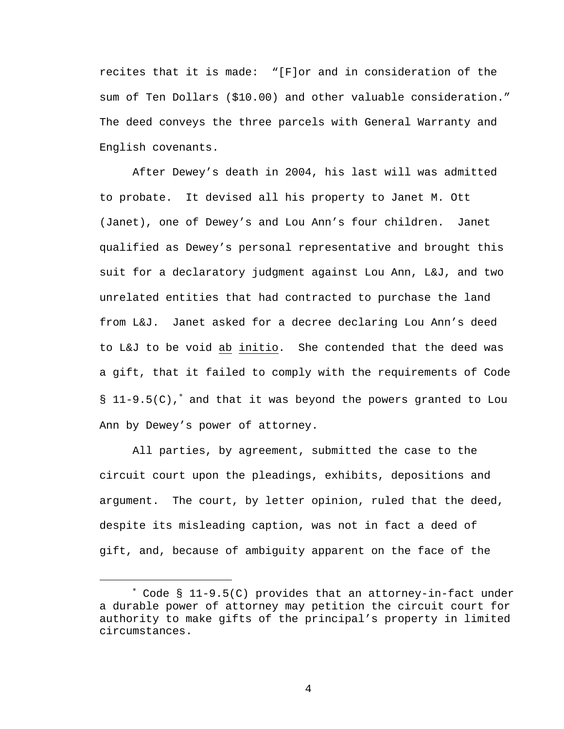recites that it is made: "[F]or and in consideration of the sum of Ten Dollars (\$10.00) and other valuable consideration." The deed conveys the three parcels with General Warranty and English covenants.

 After Dewey's death in 2004, his last will was admitted to probate. It devised all his property to Janet M. Ott (Janet), one of Dewey's and Lou Ann's four children. Janet qualified as Dewey's personal representative and brought this suit for a declaratory judgment against Lou Ann, L&J, and two unrelated entities that had contracted to purchase the land from L&J. Janet asked for a decree declaring Lou Ann's deed to L&J to be void ab initio. She contended that the deed was a gift, that it failed to comply with the requirements of Code § 11-9.5(C),<sup>\*</sup> and that it was beyond the powers granted to Lou Ann by Dewey's power of attorney.

 All parties, by agreement, submitted the case to the circuit court upon the pleadings, exhibits, depositions and argument. The court, by letter opinion, ruled that the deed, despite its misleading caption, was not in fact a deed of gift, and, because of ambiguity apparent on the face of the

i

<sup>∗</sup> Code § 11-9.5(C) provides that an attorney-in-fact under a durable power of attorney may petition the circuit court for authority to make gifts of the principal's property in limited circumstances.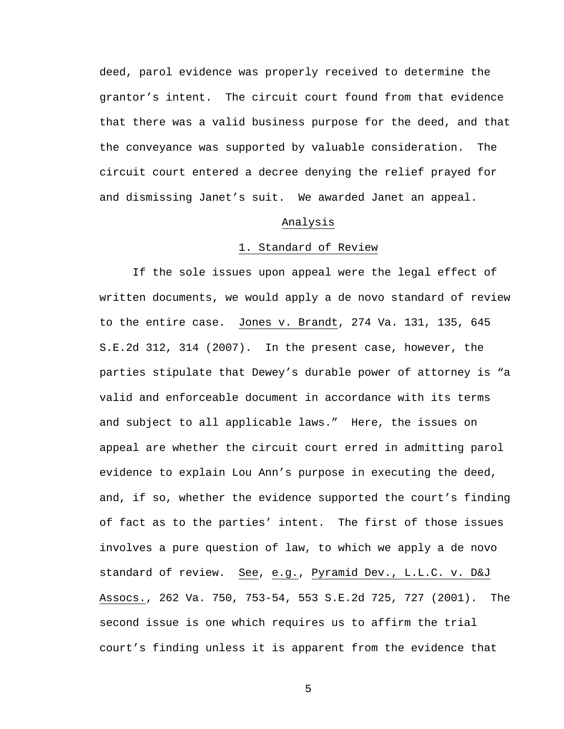deed, parol evidence was properly received to determine the grantor's intent. The circuit court found from that evidence that there was a valid business purpose for the deed, and that the conveyance was supported by valuable consideration. The circuit court entered a decree denying the relief prayed for and dismissing Janet's suit. We awarded Janet an appeal.

### Analysis

### 1. Standard of Review

 If the sole issues upon appeal were the legal effect of written documents, we would apply a de novo standard of review to the entire case. Jones v. Brandt, 274 Va. 131, 135, 645 S.E.2d 312, 314 (2007). In the present case, however, the parties stipulate that Dewey's durable power of attorney is "a valid and enforceable document in accordance with its terms and subject to all applicable laws." Here, the issues on appeal are whether the circuit court erred in admitting parol evidence to explain Lou Ann's purpose in executing the deed, and, if so, whether the evidence supported the court's finding of fact as to the parties' intent. The first of those issues involves a pure question of law, to which we apply a de novo standard of review. See, e.g., Pyramid Dev., L.L.C. v. D&J Assocs., 262 Va. 750, 753-54, 553 S.E.2d 725, 727 (2001). The second issue is one which requires us to affirm the trial court's finding unless it is apparent from the evidence that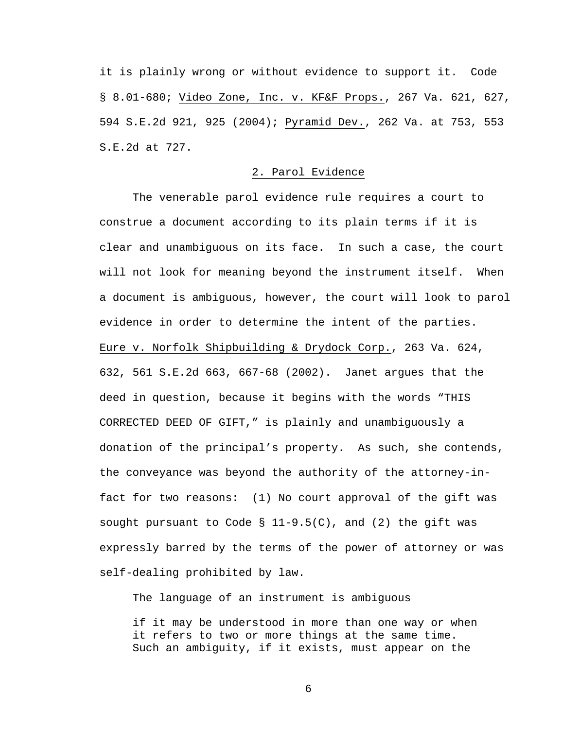it is plainly wrong or without evidence to support it. Code § 8.01-680; Video Zone, Inc. v. KF&F Props., 267 Va. 621, 627, 594 S.E.2d 921, 925 (2004); Pyramid Dev., 262 Va. at 753, 553 S.E.2d at 727.

## 2. Parol Evidence

 The venerable parol evidence rule requires a court to construe a document according to its plain terms if it is clear and unambiguous on its face. In such a case, the court will not look for meaning beyond the instrument itself. When a document is ambiguous, however, the court will look to parol evidence in order to determine the intent of the parties. Eure v. Norfolk Shipbuilding & Drydock Corp., 263 Va. 624, 632, 561 S.E.2d 663, 667-68 (2002). Janet argues that the deed in question, because it begins with the words "THIS CORRECTED DEED OF GIFT," is plainly and unambiguously a donation of the principal's property. As such, she contends, the conveyance was beyond the authority of the attorney-infact for two reasons: (1) No court approval of the gift was sought pursuant to Code  $\S$  11-9.5(C), and (2) the gift was expressly barred by the terms of the power of attorney or was self-dealing prohibited by law.

The language of an instrument is ambiguous

if it may be understood in more than one way or when it refers to two or more things at the same time. Such an ambiguity, if it exists, must appear on the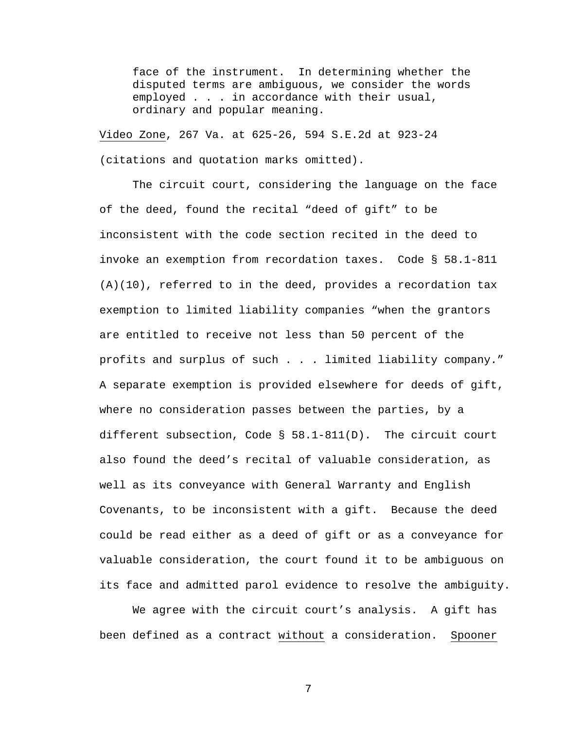face of the instrument. In determining whether the disputed terms are ambiguous, we consider the words employed . . . in accordance with their usual, ordinary and popular meaning.

Video Zone, 267 Va. at 625-26, 594 S.E.2d at 923-24 (citations and quotation marks omitted).

 The circuit court, considering the language on the face of the deed, found the recital "deed of gift" to be inconsistent with the code section recited in the deed to invoke an exemption from recordation taxes. Code § 58.1-811  $(A)(10)$ , referred to in the deed, provides a recordation tax exemption to limited liability companies "when the grantors are entitled to receive not less than 50 percent of the profits and surplus of such . . . limited liability company." A separate exemption is provided elsewhere for deeds of gift, where no consideration passes between the parties, by a different subsection, Code § 58.1-811(D). The circuit court also found the deed's recital of valuable consideration, as well as its conveyance with General Warranty and English Covenants, to be inconsistent with a gift. Because the deed could be read either as a deed of gift or as a conveyance for valuable consideration, the court found it to be ambiguous on its face and admitted parol evidence to resolve the ambiguity.

 We agree with the circuit court's analysis. A gift has been defined as a contract without a consideration. Spooner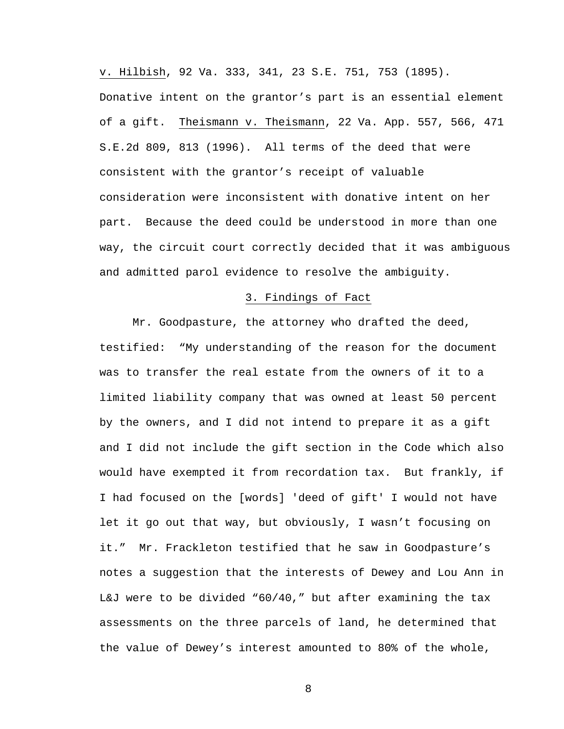v. Hilbish, 92 Va. 333, 341, 23 S.E. 751, 753 (1895). Donative intent on the grantor's part is an essential element of a gift. Theismann v. Theismann, 22 Va. App. 557, 566, 471 S.E.2d 809, 813 (1996). All terms of the deed that were consistent with the grantor's receipt of valuable consideration were inconsistent with donative intent on her part. Because the deed could be understood in more than one way, the circuit court correctly decided that it was ambiguous and admitted parol evidence to resolve the ambiguity.

### 3. Findings of Fact

 Mr. Goodpasture, the attorney who drafted the deed, testified: "My understanding of the reason for the document was to transfer the real estate from the owners of it to a limited liability company that was owned at least 50 percent by the owners, and I did not intend to prepare it as a gift and I did not include the gift section in the Code which also would have exempted it from recordation tax. But frankly, if I had focused on the [words] 'deed of gift' I would not have let it go out that way, but obviously, I wasn't focusing on it." Mr. Frackleton testified that he saw in Goodpasture's notes a suggestion that the interests of Dewey and Lou Ann in L&J were to be divided "60/40," but after examining the tax assessments on the three parcels of land, he determined that the value of Dewey's interest amounted to 80% of the whole,